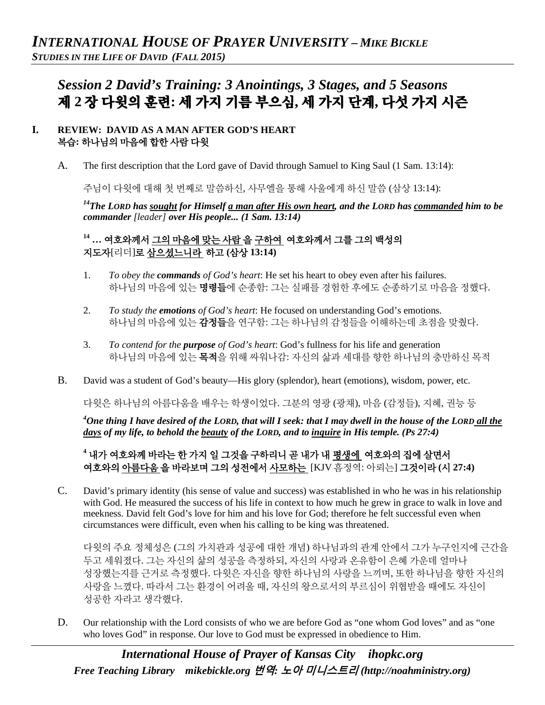# *Session 2 David's Training: 3 Anointings, 3 Stages, and 5 Seasons* 제 **2** 장 다윗의 훈련**:** 세 가지 기름 부으심**,** 세 가지 단계**,** 다섯 가지 시즌

#### **I. REVIEW: DAVID AS A MAN AFTER GOD'S HEART**  복습**:** 하나님의 마음에 합한 사람 다윗

A. The first description that the Lord gave of David through Samuel to King Saul (1 Sam. 13:14):

주님이 다윗에 대해 첫 번째로 말씀하신, 사무엘을 통해 사울에게 하신 말씀 (삼상 13:14):

*14The LORD has sought for Himself a man after His own heart, and the LORD has commanded him to be commander [leader] over His people... (1 Sam. 13:14)*

## **<sup>14</sup> …** 여호와께서 그의 마음에 맞는 사람 을 구하여 여호와께서 그를 그의 백성의 지도자[리더]로 삼으셨느니라 하고 **(**삼상 **13:14)**

- 1. *To obey the commands of God's heart*: He set his heart to obey even after his failures. 하나님의 마음에 있는 명령들에 순종함: 그는 실패를 경험한 후에도 순종하기로 마음을 정했다.
- 2. *To study the emotions of God's heart*: He focused on understanding God's emotions. 하나님의 마음에 있는 감정들을 연구함: 그는 하나님의 감정들을 이해하는데 초점을 맞췄다.
- 3. *To contend for the purpose of God's heart*: God's fullness for his life and generation 하나님의 마음에 있는 목적을 위해 싸워나감: 자신의 삶과 세대를 향한 하나님의 충만하신 목적
- B. David was a student of God's beauty—His glory (splendor), heart (emotions), wisdom, power, etc.

다윗은 하나님의 아름다움을 배우는 학생이었다. 그분의 영광 (광채), 마음 (감정들), 지혜, 권능 등

<sup>4</sup>One thing I have desired of the LORD, that will I seek: that I may dwell in the house of the LORD <u>all the</u> *days of my life, to behold the beauty of the LORD, and to inquire in His temple. (Ps 27:4)*

#### **<sup>4</sup>** 내가 여호와께 바라는 한 가지 일 그것을 구하리니 곧 내가 내 평생에 여호와의 집에 살면서 여호와의 아름다움 을 바라보며 그의 성전에서 사모하는 [KJV 흠정역: 아뢰는] 그것이라 **(**시 **27:4)**

C. David's primary identity (his sense of value and success) was established in who he was in his relationship with God. He measured the success of his life in context to how much he grew in grace to walk in love and meekness. David felt God's love for him and his love for God; therefore he felt successful even when circumstances were difficult, even when his calling to be king was threatened.

다윗의 주요 정체성은 (그의 가치관과 성공에 대한 개념) 하나님과의 관계 안에서 그가 누구인지에 근간을 두고 세워졌다. 그는 자신의 삶의 성공을 측정하되, 자신의 사랑과 온유함이 은혜 가운데 얼마나 성장했는지를 근거로 측정했다. 다윗은 자신을 향한 하나님의 사랑을 느끼며, 또한 하나님을 향한 자신의 사랑을 느꼈다. 따라서 그는 환경이 어려울 때, 자신의 왕으로서의 부르심이 위협받을 때에도 자신이 성공한 자라고 생각했다.

D. Our relationship with the Lord consists of who we are before God as "one whom God loves" and as "one who loves God" in response. Our love to God must be expressed in obedience to Him.

*International House of Prayer of Kansas City [ihopkc.org](http://www.ihopkc.org/) Free Teaching Library [mikebickle.org](http://www.mikebickle.org/)* 번역*:* 노아 미니스트리 *(http://noahministry.org)*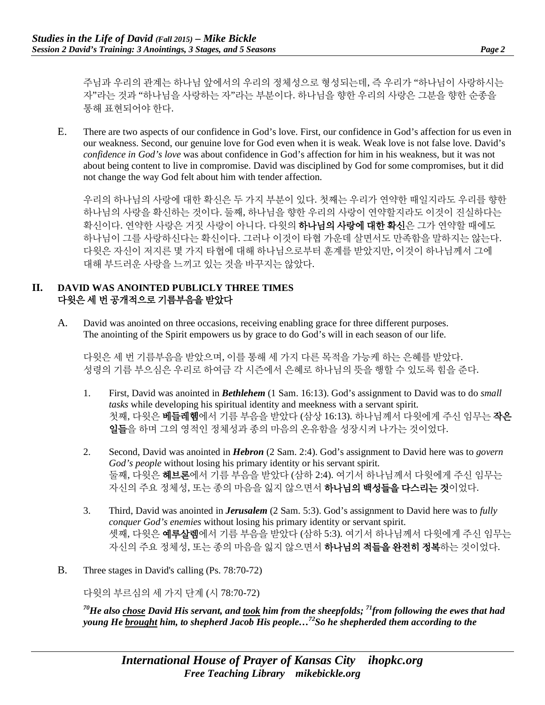주님과 우리의 관계는 하나님 앞에서의 우리의 정체성으로 형성되는데, 즉 우리가 "하나님이 사랑하시는 자"라는 것과 "하나님을 사랑하는 자"라는 부분이다. 하나님을 향한 우리의 사랑은 그분을 향한 순종을 통해 표현되어야 한다.

E. There are two aspects of our confidence in God's love. First, our confidence in God's affection for us even in our weakness. Second, our genuine love for God even when it is weak. Weak love is not false love. David's *confidence in God's love* was about confidence in God's affection for him in his weakness, but it was not about being content to live in compromise. David was disciplined by God for some compromises, but it did not change the way God felt about him with tender affection.

우리의 하나님의 사랑에 대한 확신은 두 가지 부분이 있다. 첫째는 우리가 연약한 때일지라도 우리를 향한 하나님의 사랑을 확신하는 것이다. 둘째, 하나님을 향한 우리의 사랑이 연약할지라도 이것이 진실하다는 확신이다. 연약한 사랑은 거짓 사랑이 아니다. 다윗의 **하나님의 사랑에 대한 확신**은 그가 연약할 때에도 하나님이 그를 사랑하신다는 확신이다. 그러나 이것이 타협 가운데 살면서도 만족함을 말하지는 않는다. 다윗은 자신이 저지른 몇 가지 타협에 대해 하나님으로부터 훈계를 받았지만, 이것이 하나님께서 그에 대해 부드러운 사랑을 느끼고 있는 것을 바꾸지는 않았다.

#### **II. DAVID WAS ANOINTED PUBLICLY THREE TIMES** 다윗은 세 번 공개적으로 기름부음을 받았다

A. David was anointed on three occasions, receiving enabling grace for three different purposes. The anointing of the Spirit empowers us by grace to do God's will in each season of our life.

다윗은 세 번 기름부음을 받았으며, 이를 통해 세 가지 다른 목적을 가능케 하는 은혜를 받았다. 성령의 기름 부으심은 우리로 하여금 각 시즌에서 은혜로 하나님의 뜻을 행할 수 있도록 힘을 준다.

- 1. First, David was anointed in *Bethlehem* (1 Sam. 16:13). God's assignment to David was to do *small tasks* while developing his spiritual identity and meekness with a servant spirit. 첫째, 다윗은 **베들레헴**에서 기름 부음을 받았다 (삼상 16:13). 하나님께서 다윗에게 주신 임무는 **작은** 일들을 하며 그의 영적인 정체성과 종의 마음의 온유함을 성장시켜 나가는 것이었다.
- 2. Second, David was anointed in *Hebron* (2 Sam. 2:4). God's assignment to David here was to *govern God's people* without losing his primary identity or his servant spirit. 둘째, 다윗은 헤브론에서 기름 부음을 받았다 (삼하 2:4). 여기서 하나님께서 다윗에게 주신 임무는 자신의 주요 정체성, 또는 종의 마음을 잃지 않으면서 하나님의 백성들을 다스리는 것이었다.
- 3. Third, David was anointed in *Jerusalem* (2 Sam. 5:3). God's assignment to David here was to *fully conquer God's enemies* without losing his primary identity or servant spirit. 셋째, 다윗은 **예루살렘**에서 기름 부음을 받았다 (삼하 5:3). 여기서 하나님께서 다윗에게 주신 임무는 자신의 주요 정체성, 또는 종의 마음을 잃지 않으면서 **하나님의 적들을 완전히 정복**하는 것이었다.
- B. Three stages in David's calling (Ps. 78:70-72)

다윗의 부르심의 세 가지 단계 (시 78:70-72)

*70He also chose David His servant, and took him from the sheepfolds; 71from following the ewes that had young He brought him, to shepherd Jacob His people…72So he shepherded them according to the*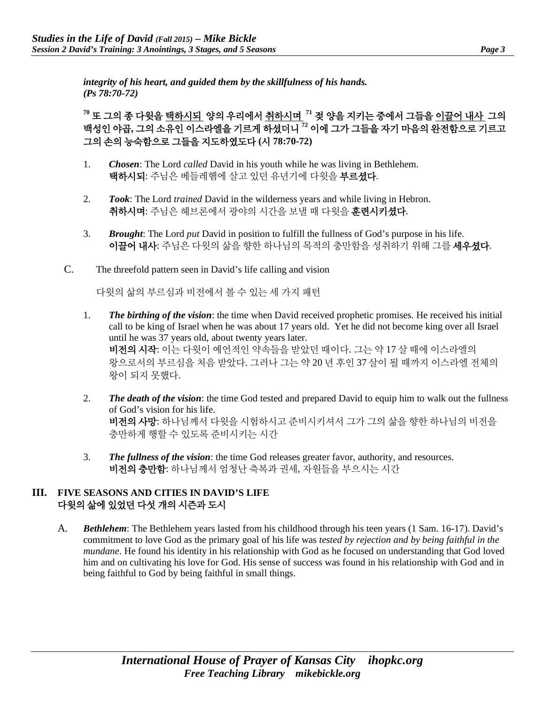*integrity of his heart, and guided them by the skillfulness of his hands. (Ps 78:70-72)* 

**<sup>70</sup>** 또 그의 종 다윗을 택하시되 양의 우리에서 취하시며 **<sup>71</sup>** 젖 양을 지키는 중에서 그들을 이끌어 내사 그의 백성인 야곱**,** 그의 소유인 이스라엘을 기르게 하셨더니 **<sup>72</sup>** 이에 그가 그들을 자기 마음의 완전함으로 기르고 그의 손의 능숙함으로 그들을 지도하였도다 **(**시 **78:70-72)**

- 1. *Chosen*: The Lord *called* David in his youth while he was living in Bethlehem. 택하시되: 주님은 베들레헴에 살고 있던 유년기에 다윗을 부르셨다.
- 2. *Took*: The Lord *trained* David in the wilderness years and while living in Hebron. 취하시며: 주님은 헤브론에서 광야의 시간을 보낼 때 다윗을 훈련시키셨다.
- 3. *Brought*: The Lord *put* David in position to fulfill the fullness of God's purpose in his life. 이끌어 내사: 주님은 다윗의 삶을 향한 하나님의 목적의 충만함을 성취하기 위해 그를 세우셨다.
- C. The threefold pattern seen in David's life calling and vision

다윗의 삶의 부르심과 비전에서 볼 수 있는 세 가지 패턴

- 1. *The birthing of the vision*: the time when David received prophetic promises. He received his initial call to be king of Israel when he was about 17 years old. Yet he did not become king over all Israel until he was 37 years old, about twenty years later. 비전의 시작: 이는 다윗이 예언적인 약속들을 받았던 때이다. 그는 약 17 살 때에 이스라엘의 왕으로서의 부르심을 처음 받았다. 그러나 그는 약 20 년 후인 37 살이 될 때까지 이스라엘 전체의 왕이 되지 못했다.
- 2. *The death of the vision*: the time God tested and prepared David to equip him to walk out the fullness of God's vision for his life. 비전의 사망: 하나님께서 다윗을 시험하시고 준비시키셔서 그가 그의 삶을 향한 하나님의 비전을 충만하게 행할 수 있도록 준비시키는 시간
- 3. *The fullness of the vision*: the time God releases greater favor, authority, and resources. 비전의 충만함: 하나님께서 엄청난 축복과 권세, 자원들을 부으시는 시간

#### **III. FIVE SEASONS AND CITIES IN DAVID'S LIFE**  다윗의 삶에 있었던 다섯 개의 시즌과 도시

A. *Bethlehem*: The Bethlehem years lasted from his childhood through his teen years (1 Sam. 16-17). David's commitment to love God as the primary goal of his life was *tested by rejection and by being faithful in the mundane*. He found his identity in his relationship with God as he focused on understanding that God loved him and on cultivating his love for God. His sense of success was found in his relationship with God and in being faithful to God by being faithful in small things.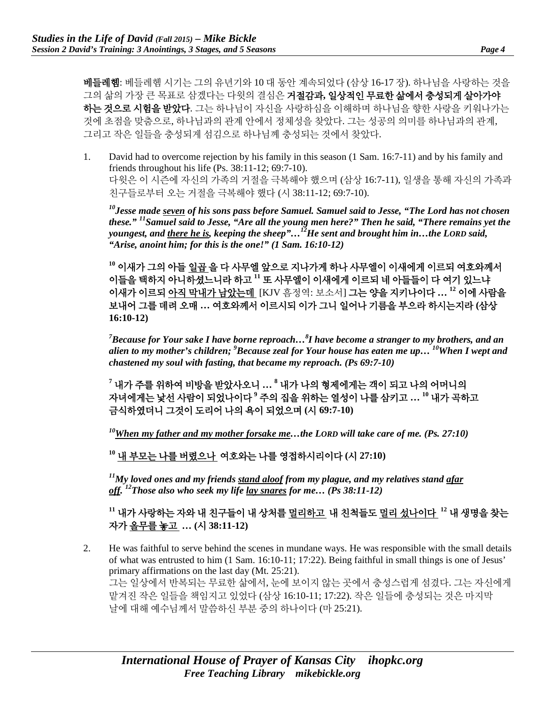베들레헴: 베들레헴 시기는 그의 유년기와 10 대 동안 계속되었다 (삼상 16-17 장). 하나님을 사랑하는 것을 그의 삶의 가장 큰 목표로 삼겠다는 다윗의 결심은 거절감과**,** 일상적인 무료한 삶에서 충성되게 살아가야 하는 것으로 시험을 받았다. 그는 하나님이 자신을 사랑하심을 이해하며 하나님을 향한 사랑을 키워나가는 것에 초점을 맞춤으로, 하나님과의 관계 안에서 정체성을 찾았다. 그는 성공의 의미를 하나님과의 관계, 그리고 작은 일들을 충성되게 섬김으로 하나님께 충성되는 것에서 찾았다.

1. David had to overcome rejection by his family in this season (1 Sam. 16:7-11) and by his family and friends throughout his life (Ps. 38:11-12; 69:7-10). 다윗은 이 시즌에 자신의 가족의 거절을 극복해야 했으며 (삼상 16:7-11), 일생을 통해 자신의 가족과 친구들로부터 오는 거절을 극복해야 했다 (시 38:11-12; 69:7-10).

*10Jesse made seven of his sons pass before Samuel. Samuel said to Jesse, "The Lord has not chosen these." 11Samuel said to Jesse, "Are all the young men here?" Then he said, "There remains yet the youngest, and there he is, keeping the sheep"…12He sent and brought him in…the LORD said, "Arise, anoint him; for this is the one!" (1 Sam. 16:10-12)* 

**<sup>10</sup>** 이새가 그의 아들 일곱 을 다 사무엘 앞으로 지나가게 하나 사무엘이 이새에게 이르되 여호와께서 이들을 택하지 아니하셨느니라 하고 **<sup>11</sup>** 또 사무엘이 이새에게 이르되 네 아들들이 다 여기 있느냐 이새가 이르되 아직 막내가 남았는데 [KJV 흠정역: 보소서] 그는 양을 지키나이다 **… <sup>12</sup>** 이에 사람을 보내어 그를 데려 오매 **…** 여호와께서 이르시되 이가 그니 일어나 기름을 부으라 하시는지라 **(**삼상 **16:10-12)**

*7 Because for Your sake I have borne reproach…8 I have become a stranger to my brothers, and an alien to my mother's children; <sup>9</sup> Because zeal for Your house has eaten me up… 10When I wept and chastened my soul with fasting, that became my reproach. (Ps 69:7-10)*

**<sup>7</sup>** 내가 주를 위하여 비방을 받았사오니 **… <sup>8</sup>** 내가 나의 형제에게는 객이 되고 나의 어머니의 자녀에게는 낯선 사람이 되었나이다 **<sup>9</sup>** 주의 집을 위하는 열성이 나를 삼키고 **… <sup>10</sup>** 내가 곡하고 금식하였더니 그것이 도리어 나의 욕이 되었으며 **(**시 **69:7-10)**

*10When my father and my mother forsake me…the LORD will take care of me. (Ps. 27:10)* 

**<sup>10</sup>** 내 부모는 나를 버렸으나 여호와는 나를 영접하시리이다 **(**시 **27:10)**

*11My loved ones and my friends stand aloof from my plague, and my relatives stand afar off. 12Those also who seek my life lay snares for me… (Ps 38:11-12)*

**<sup>11</sup>** 내가 사랑하는 자와 내 친구들이 내 상처를 멀리하고 내 친척들도 멀리 섰나이다 **<sup>12</sup>** 내 생명을 찾는 자가 올무를 놓고 **… (**시 **38:11-12)**

2. He was faithful to serve behind the scenes in mundane ways. He was responsible with the small details of what was entrusted to him (1 Sam. 16:10-11; 17:22). Being faithful in small things is one of Jesus' primary affirmations on the last day (Mt. 25:21). 그는 일상에서 반복되는 무료한 삶에서, 눈에 보이지 않는 곳에서 충성스럽게 섬겼다. 그는 자신에게 맡겨진 작은 일들을 책임지고 있었다 (삼상 16:10-11; 17:22). 작은 일들에 충성되는 것은 마지막 날에 대해 예수님께서 말씀하신 부분 중의 하나이다 (마 25:21).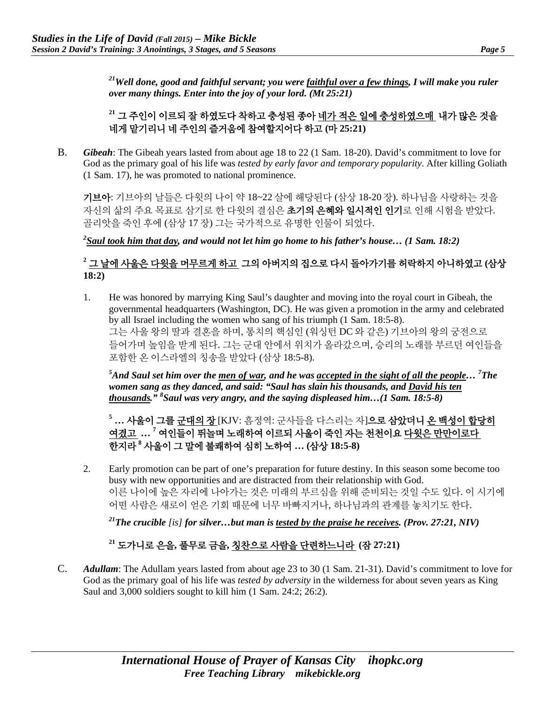*21Well done, good and faithful servant; you were faithful over a few things, I will make you ruler over many things. Enter into the joy of your lord. (Mt 25:21)*

## **<sup>21</sup>** 그 주인이 이르되 잘 하였도다 착하고 충성된 종아 네가 적은 일에 충성하였으매 내가 많은 것을 네게 맡기리니 네 주인의 즐거움에 참여할지어다 하고 **(**마 **25:21)**

B. *Gibeah*: The Gibeah years lasted from about age 18 to 22 (1 Sam. 18-20). David's commitment to love for God as the primary goal of his life was *tested by early favor and temporary popularity*. After killing Goliath (1 Sam. 17), he was promoted to national prominence.

기브아: 기브아의 날들은 다윗의 나이 약 18~22 살에 해당된다 (삼상 18-20 장). 하나님을 사랑하는 것을 자신의 삶의 주요 목표로 삼기로 한 다윗의 결심은 **초기의 은혜와 일시적인 인기**로 인해 시험을 받았다. 골리앗을 죽인 후에 (삼상 17 장) 그는 국가적으로 유명한 인물이 되었다.

*2 Saul took him that day, and would not let him go home to his father's house… (1 Sam. 18:2)*

## **<sup>2</sup>** 그 날에 사울은 다윗을 머무르게 하고 그의 아버지의 집으로 다시 돌아가기를 허락하지 아니하였고 **(**삼상 **18:2)**

1. He was honored by marrying King Saul's daughter and moving into the royal court in Gibeah, the governmental headquarters (Washington, DC). He was given a promotion in the army and celebrated by all Israel including the women who sang of his triumph (1 Sam. 18:5-8). 그는 사울 왕의 딸과 결혼을 하며, 통치의 핵심인 (워싱턴 DC 와 같은) 기브아의 왕의 궁전으로 들어가며 높임을 받게 된다. 그는 군대 안에서 위치가 올라갔으며, 승리의 노래를 부르던 여인들을 포함한 온 이스라엘의 칭송을 받았다 (삼상 18:5-8).

*5 And Saul set him over the men of war, and he was accepted in the sight of all the people… <sup>7</sup> The women sang as they danced, and said: "Saul has slain his thousands, and David his ten thousands." 8 Saul was very angry, and the saying displeased him…(1 Sam. 18:5-8)*

**<sup>5</sup> …** 사울이 그를 군대의 장 [KJV: 흠정역: 군사들을 다스리는 자]으로 삼았더니 온 백성이 합당히 여겼고 **… <sup>7</sup>** 여인들이 뛰놀며 노래하여 이르되 사울이 죽인 자는 천천이요 다윗은 만만이로다 한지라 **<sup>8</sup>** 사울이 그 말에 불쾌하여 심히 노하여 **… (**삼상 **18:5-8)**

2. Early promotion can be part of one's preparation for future destiny. In this season some become too busy with new opportunities and are distracted from their relationship with God. 이른 나이에 높은 자리에 나아가는 것은 미래의 부르심을 위해 준비되는 것일 수도 있다. 이 시기에 어떤 사람은 새로이 얻은 기회 때문에 너무 바빠지거나, 하나님과의 관계를 놓치기도 한다.

*21The crucible [is] for silver…but man is tested by the praise he receives. (Prov. 27:21, NIV)*

## **<sup>21</sup>** 도가니로 은을**,** 풀무로 금을**,** 칭찬으로 사람을 단련하느니라 **(**잠 **27:21)**

C. *Adullam*: The Adullam years lasted from about age 23 to 30 (1 Sam. 21-31). David's commitment to love for God as the primary goal of his life was *tested by adversity* in the wilderness for about seven years as King Saul and 3,000 soldiers sought to kill him (1 Sam. 24:2; 26:2).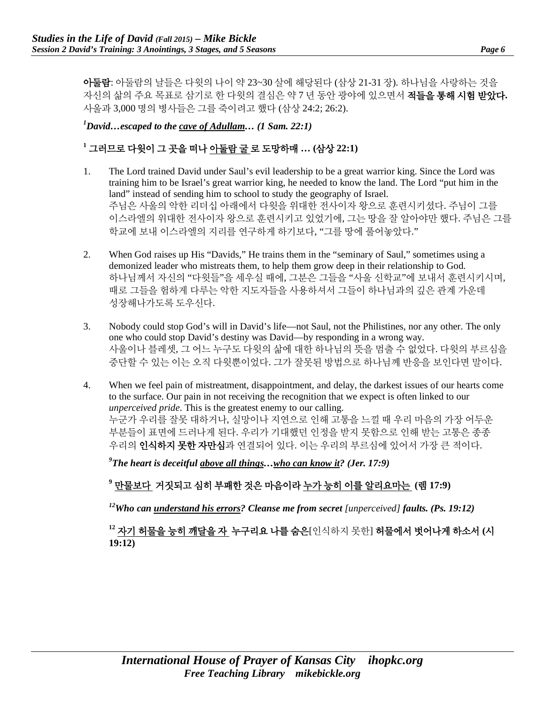아둘람: 아둘람의 날들은 다윗의 나이 약 23~30 살에 해당된다 (삼상 21-31 장). 하나님을 사랑하는 것을 자신의 삶의 주요 목표로 삼기로 한 다윗의 결심은 약 7 년 동안 광야에 있으면서 적들을 통해 시험 받았다**.** 사울과 3,000 명의 병사들은 그를 죽이려고 했다 (삼상 24:2; 26:2).

*1 David…escaped to the cave of Adullam… (1 Sam. 22:1)* 

#### **<sup>1</sup>** 그러므로 다윗이 그 곳을 떠나 아둘람 굴 로 도망하매 **… (**삼상 **22:1)**

- 1. The Lord trained David under Saul's evil leadership to be a great warrior king. Since the Lord was training him to be Israel's great warrior king, he needed to know the land. The Lord "put him in the land" instead of sending him to school to study the geography of Israel. 주님은 사울의 악한 리더십 아래에서 다윗을 위대한 전사이자 왕으로 훈련시키셨다. 주님이 그를 이스라엘의 위대한 전사이자 왕으로 훈련시키고 있었기에, 그는 땅을 잘 알아야만 했다. 주님은 그를 학교에 보내 이스라엘의 지리를 연구하게 하기보다, "그를 땅에 풀어놓았다."
- 2. When God raises up His "Davids," He trains them in the "seminary of Saul," sometimes using a demonized leader who mistreats them, to help them grow deep in their relationship to God. 하나님께서 자신의 "다윗들"을 세우실 때에, 그분은 그들을 "사울 신학교"에 보내서 훈련시키시며, 때로 그들을 험하게 다루는 악한 지도자들을 사용하셔서 그들이 하나님과의 깊은 관계 가운데 성장해나가도록 도우신다.
- 3. Nobody could stop God's will in David's life—not Saul, not the Philistines, nor any other. The only one who could stop David's destiny was David—by responding in a wrong way. 사울이나 블레셋, 그 어느 누구도 다윗의 삶에 대한 하나님의 뜻을 멈출 수 없었다. 다윗의 부르심을 중단할 수 있는 이는 오직 다윗뿐이었다. 그가 잘못된 방법으로 하나님께 반응을 보인다면 말이다.
- 4. When we feel pain of mistreatment, disappointment, and delay, the darkest issues of our hearts come to the surface. Our pain in not receiving the recognition that we expect is often linked to our *unperceived pride*. This is the greatest enemy to our calling. 누군가 우리를 잘못 대하거나, 실망이나 지연으로 인해 고통을 느낄 때 우리 마음의 가장 어두운 부분들이 표면에 드러나게 된다. 우리가 기대했던 인정을 받지 못함으로 인해 받는 고통은 종종 우리의 인식하지 못한 자만심과 연결되어 있다. 이는 우리의 부르심에 있어서 가장 큰 적이다.

*9 The heart is deceitful above all things…who can know it? (Jer. 17:9)* 

## **<sup>9</sup>** 만물보다 거짓되고 심히 부패한 것은 마음이라 누가 능히 이를 알리요마는 **(**렘 **17:9)**

<sup>12</sup>Who can understand his errors? Cleanse me from secret [unperceived] faults. (Ps. 19:12)

## **<sup>12</sup>** 자기 허물을 능히 깨달을 자 누구리요 나를 숨은[인식하지 못한] 허물에서 벗어나게 하소서 **(**시 **19:12)**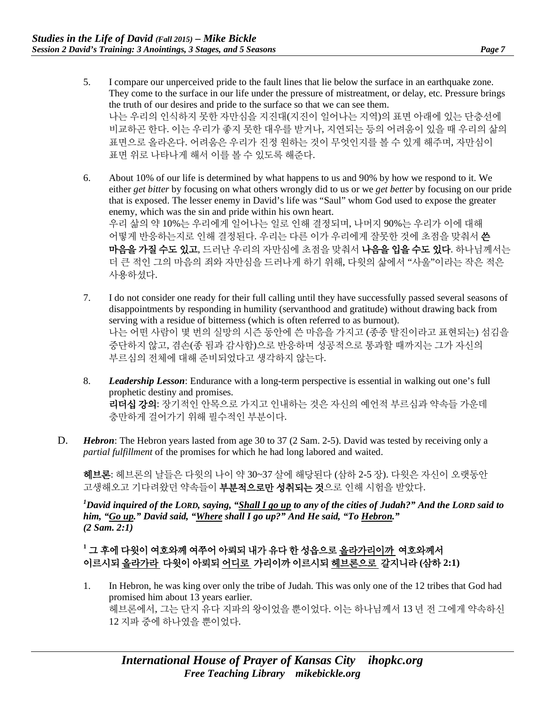- 5. I compare our unperceived pride to the fault lines that lie below the surface in an earthquake zone. They come to the surface in our life under the pressure of mistreatment, or delay, etc. Pressure brings the truth of our desires and pride to the surface so that we can see them. 나는 우리의 인식하지 못한 자만심을 지진대(지진이 일어나는 지역)의 표면 아래에 있는 단층선에 비교하곤 한다. 이는 우리가 좋지 못한 대우를 받거나, 지연되는 등의 어려움이 있을 때 우리의 삶의 표면으로 올라온다. 어려움은 우리가 진정 원하는 것이 무엇인지를 볼 수 있게 해주며, 자만심이 표면 위로 나타나게 해서 이를 볼 수 있도록 해준다.
- 6. About 10% of our life is determined by what happens to us and 90% by how we respond to it. We either *get bitter* by focusing on what others wrongly did to us or we *get better* by focusing on our pride that is exposed. The lesser enemy in David's life was "Saul" whom God used to expose the greater enemy, which was the sin and pride within his own heart. 우리 삶의 약 10%는 우리에게 일어나는 일로 인해 결정되며, 나머지 90%는 우리가 이에 대해 어떻게 반응하는지로 인해 결정된다. 우리는 다른 이가 우리에게 잘못한 것에 초점을 맞춰서 쓴 마음을 가질 수도 있고, 드러난 우리의 자만심에 초점을 맞춰서 나음을 입을 수도 있다. 하나님께서는 더 큰 적인 그의 마음의 죄와 자만심을 드러나게 하기 위해, 다윗의 삶에서 "사울"이라는 작은 적은 사용하셨다.
- 7. I do not consider one ready for their full calling until they have successfully passed several seasons of disappointments by responding in humility (servanthood and gratitude) without drawing back from serving with a residue of bitterness (which is often referred to as burnout). 나는 어떤 사람이 몇 번의 실망의 시즌 동안에 쓴 마음을 가지고 (종종 탈진이라고 표현되는) 섬김을 중단하지 않고, 겸손(종 됨과 감사함)으로 반응하며 성공적으로 통과할 때까지는 그가 자신의 부르심의 전체에 대해 준비되었다고 생각하지 않는다.
- 8. *Leadership Lesson*: Endurance with a long-term perspective is essential in walking out one's full prophetic destiny and promises. 리더십 강의: 장기적인 안목으로 가지고 인내하는 것은 자신의 예언적 부르심과 약속들 가운데 충만하게 걸어가기 위해 필수적인 부분이다.
- D. *Hebron*: The Hebron years lasted from age 30 to 37 (2 Sam. 2-5). David was tested by receiving only a *partial fulfillment* of the promises for which he had long labored and waited.

헤브론: 헤브론의 날들은 다윗의 나이 약 30~37 살에 해당된다 (삼하 2-5 장). 다윗은 자신이 오랫동안 고생해오고 기다려왔던 약속들이 **부분적으로만 성취되는 것**으로 인해 시험을 받았다.

*1 David inquired of the LORD, saying, "Shall I go up to any of the cities of Judah?" And the LORD said to him, "Go up." David said, "Where shall I go up?" And He said, "To Hebron." (2 Sam. 2:1)* 

#### **<sup>1</sup>** 그 후에 다윗이 여호와께 여쭈어 아뢰되 내가 유다 한 성읍으로 올라가리이까 여호와께서 이르시되 올라가라 다윗이 아뢰되 어디로 가리이까 이르시되 헤브론으로 갈지니라 **(**삼하 **2:1)**

1. In Hebron, he was king over only the tribe of Judah. This was only one of the 12 tribes that God had promised him about 13 years earlier. 헤브론에서, 그는 단지 유다 지파의 왕이었을 뿐이었다. 이는 하나님께서 13 년 전 그에게 약속하신 12 지파 중에 하나였을 뿐이었다.